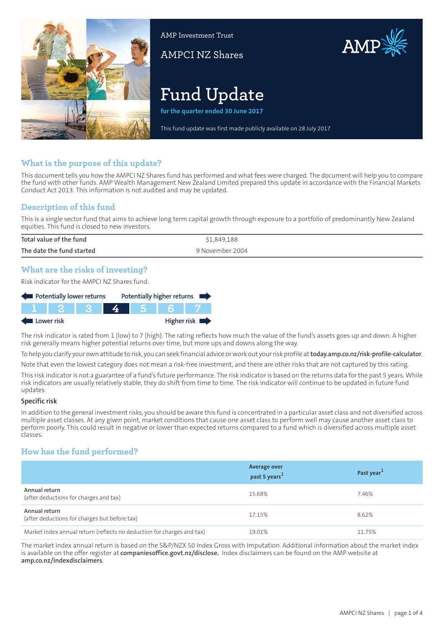

AMP Investment Trust

AMPCI NZ Shares



# **Fund Update**

**for the quarter ended 30 June 2017**

This fund update was first made publicly available on 28 July 2017

# **What is the purpose of this update?**

This document tells you how the AMPCI NZ Shares fund has performed and what fees were charged. The document will help you to compare the fund with other funds. AMP Wealth Management New Zealand Limited prepared this update in accordance with the Financial Markets Conduct Act 2013. This information is not audited and may be updated.

# **Description of this fund**

This is a single sector fund that aims to achieve long term capital growth through exposure to a portfolio of predominantly New Zealand equities. This fund is closed to new investors.

| Total value of the fund   | \$1,849,188     |
|---------------------------|-----------------|
| The date the fund started | 9 November 2004 |

# **What are the risks of investing?**

Risk indicator for the AMPCI NZ Shares fund:

| Potentially lower returns |  |  |  | Potentially higher returns |             |
|---------------------------|--|--|--|----------------------------|-------------|
|                           |  |  |  |                            |             |
| Lower risk                |  |  |  |                            | Higher risk |

The risk indicator is rated from 1 (low) to 7 (high). The rating reflects how much the value of the fund's assets goes up and down. A higher risk generally means higher potential returns over time, but more ups and downs along the way.

To help you clarify your own attitude to risk, you can seek financial advice orwork out yourrisk profile at**[today.amp.co.nz/risk-profile-calculator](http://today.amp.co.nz/risk-profile-calculator)**.

Note that even the lowest category does not mean a risk-free investment, and there are other risks that are not captured by this rating.

This risk indicator is not a guarantee of a fund's future performance. The risk indicator is based on the returns data for the past 5 years. While risk indicators are usually relatively stable, they do shift from time to time. The risk indicator will continue to be updated in future fund updates.

#### **Specific risk**

In addition to the general investmentrisks, you should be aware this fund is concentrated in a particular asset class and not diversified across multiple asset classes. At any given point, market conditions that cause one asset class to perform well may cause another asset class to perform poorly. This could result in negative or lower than expected returns compared to a fund which is diversified across multiple asset classes.

# **How has the fund performed?**

|                                                                        | <b>Average over</b><br>past 5 years <sup>1</sup> | Past year <sup>1</sup> |
|------------------------------------------------------------------------|--------------------------------------------------|------------------------|
| Annual return<br>(after deductions for charges and tax)                | 15.68%                                           | 7.46%                  |
| Annual return<br>(after deductions for charges but before tax)         | 17.15%                                           | 8.62%                  |
| Market index annual return (reflects no deduction for charges and tax) | 19.01%                                           | 11.75%                 |

The market index annual return is based on the S&P/NZX 50 Index Gross with Imputation. Additional information about the market index is available on the offer register at **[companiesoffice.govt.nz/disclose](http://companiesoffice.govt.nz/disclose).** Index disclaimers can be found on the AMP website at **[amp.co.nz/indexdisclaimers](http://amp.co.nz/indexdisclaimers)**.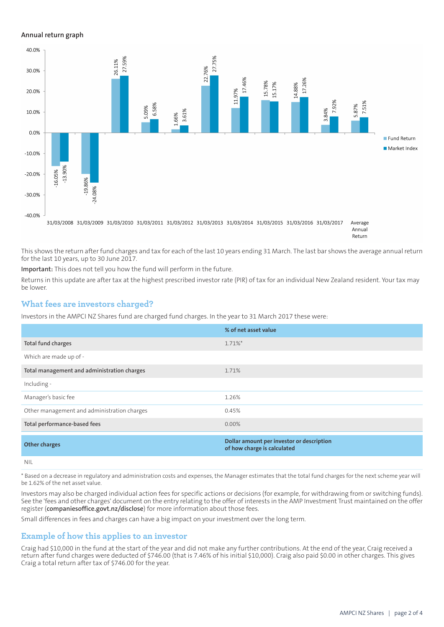## **Annual return graph**



Return

This shows the return after fund charges and tax for each of the last 10 years ending 31 March. The last bar shows the average annual return for the last 10 years, up to 30 June 2017.

**Important:** This does not tell you how the fund will perform in the future.

Returns in this update are after tax at the highest prescribed investor rate (PIR) of tax for an individual New Zealand resident. Your tax may be lower.

## **What fees are investors charged?**

Investors in the AMPCI NZ Shares fund are charged fund charges. In the year to 31 March 2017 these were:

|                                             | % of net asset value                                                     |
|---------------------------------------------|--------------------------------------------------------------------------|
| Total fund charges                          | 1.71%*                                                                   |
| Which are made up of -                      |                                                                          |
| Total management and administration charges | 1.71%                                                                    |
| Including -                                 |                                                                          |
| Manager's basic fee                         | 1.26%                                                                    |
| Other management and administration charges | 0.45%                                                                    |
| Total performance-based fees                | 0.00%                                                                    |
| <b>Other charges</b>                        | Dollar amount per investor or description<br>of how charge is calculated |
| NII                                         |                                                                          |

\* Based on a decrease in regulatory and administration costs and expenses, the Manager estimates that the total fund charges for the next scheme year will be 1.62% of the net asset value.

Investors may also be charged individual action fees for specific actions or decisions (for example, for withdrawing from or switching funds). See the 'fees and other charges' document on the entry relating to the offer of interests in the AMP Investment Trust maintained on the offer register (**[companiesoffice.govt.nz/disclose](http://companiesoffice.govt.nz/disclose)**) for more information about those fees.

Small differences in fees and charges can have a big impact on your investment over the long term.

## **Example of how this applies to an investor**

Craig had \$10,000 in the fund at the start of the year and did not make any further contributions. At the end of the year, Craig received a return after fund charges were deducted of \$746.00 (that is 7.46% of his initial \$10,000). Craig also paid \$0.00 in other charges. This gives Craig a total return after tax of \$746.00 for the year.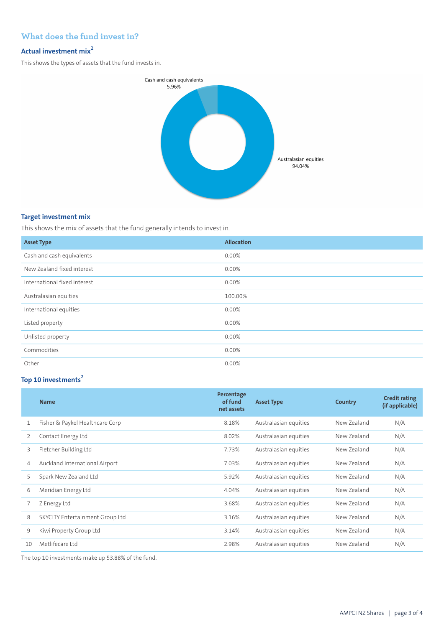# **What does the fund invest in?**

# **Actual investment mix<sup>2</sup>**

This shows the types of assets that the fund invests in.



## **Target investment mix**

This shows the mix of assets that the fund generally intends to invest in.

| <b>Asset Type</b>            | <b>Allocation</b> |
|------------------------------|-------------------|
| Cash and cash equivalents    | $0.00\%$          |
| New Zealand fixed interest   | $0.00\%$          |
| International fixed interest | 0.00%             |
| Australasian equities        | 100.00%           |
| International equities       | 0.00%             |
| Listed property              | $0.00\%$          |
| Unlisted property            | 0.00%             |
| Commodities                  | 0.00%             |
| Other                        | 0.00%             |

# **Top 10 investments<sup>2</sup>**

|    | <b>Name</b>                     | Percentage<br>of fund<br>net assets | <b>Asset Type</b>     | Country     | <b>Credit rating</b><br>(if applicable) |
|----|---------------------------------|-------------------------------------|-----------------------|-------------|-----------------------------------------|
| 1  | Fisher & Paykel Healthcare Corp | 8.18%                               | Australasian equities | New Zealand | N/A                                     |
| 2  | Contact Energy Ltd              | 8.02%                               | Australasian equities | New Zealand | N/A                                     |
| 3  | Fletcher Building Ltd           | 7.73%                               | Australasian equities | New Zealand | N/A                                     |
| 4  | Auckland International Airport  | 7.03%                               | Australasian equities | New Zealand | N/A                                     |
| 5  | Spark New Zealand Ltd           | 5.92%                               | Australasian equities | New Zealand | N/A                                     |
| 6  | Meridian Energy Ltd             | 4.04%                               | Australasian equities | New Zealand | N/A                                     |
|    | Z Energy Ltd                    | 3.68%                               | Australasian equities | New Zealand | N/A                                     |
| 8  | SKYCITY Entertainment Group Ltd | 3.16%                               | Australasian equities | New Zealand | N/A                                     |
| 9  | Kiwi Property Group Ltd         | 3.14%                               | Australasian equities | New Zealand | N/A                                     |
| 10 | Metlifecare Itd                 | 2.98%                               | Australasian equities | New Zealand | N/A                                     |

The top 10 investments make up 53.88% of the fund.